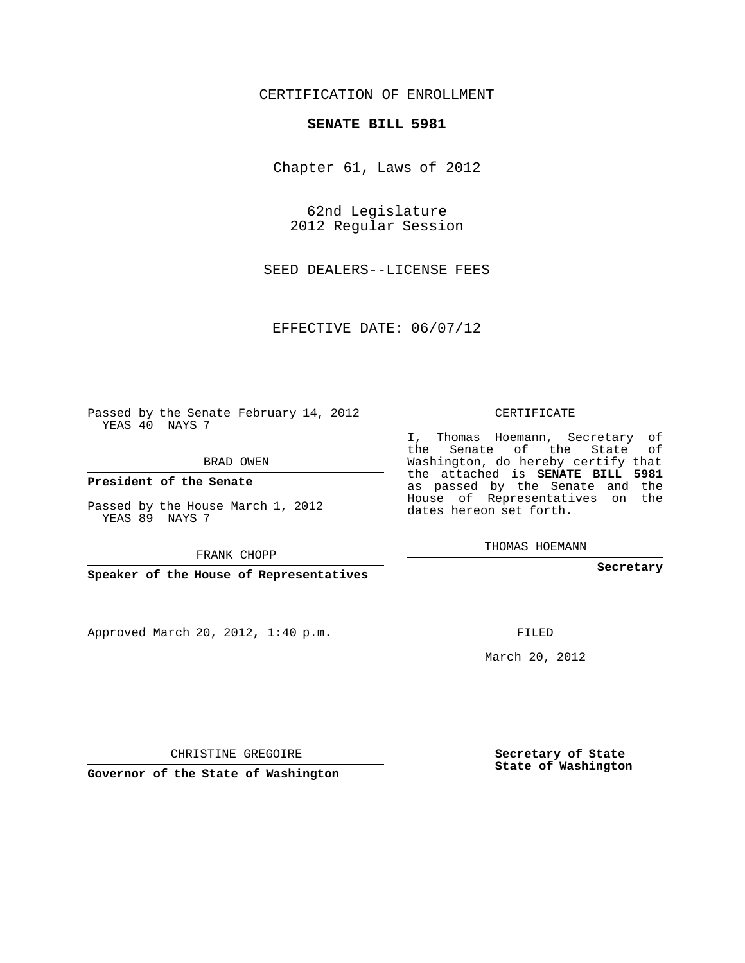## CERTIFICATION OF ENROLLMENT

## **SENATE BILL 5981**

Chapter 61, Laws of 2012

62nd Legislature 2012 Regular Session

SEED DEALERS--LICENSE FEES

EFFECTIVE DATE: 06/07/12

Passed by the Senate February 14, 2012 YEAS 40 NAYS 7

BRAD OWEN

**President of the Senate**

Passed by the House March 1, 2012 YEAS 89 NAYS 7

FRANK CHOPP

**Speaker of the House of Representatives**

Approved March 20, 2012, 1:40 p.m.

CERTIFICATE

I, Thomas Hoemann, Secretary of the Senate of the State of Washington, do hereby certify that the attached is **SENATE BILL 5981** as passed by the Senate and the House of Representatives on the dates hereon set forth.

THOMAS HOEMANN

**Secretary**

FILED

March 20, 2012

**Secretary of State State of Washington**

CHRISTINE GREGOIRE

**Governor of the State of Washington**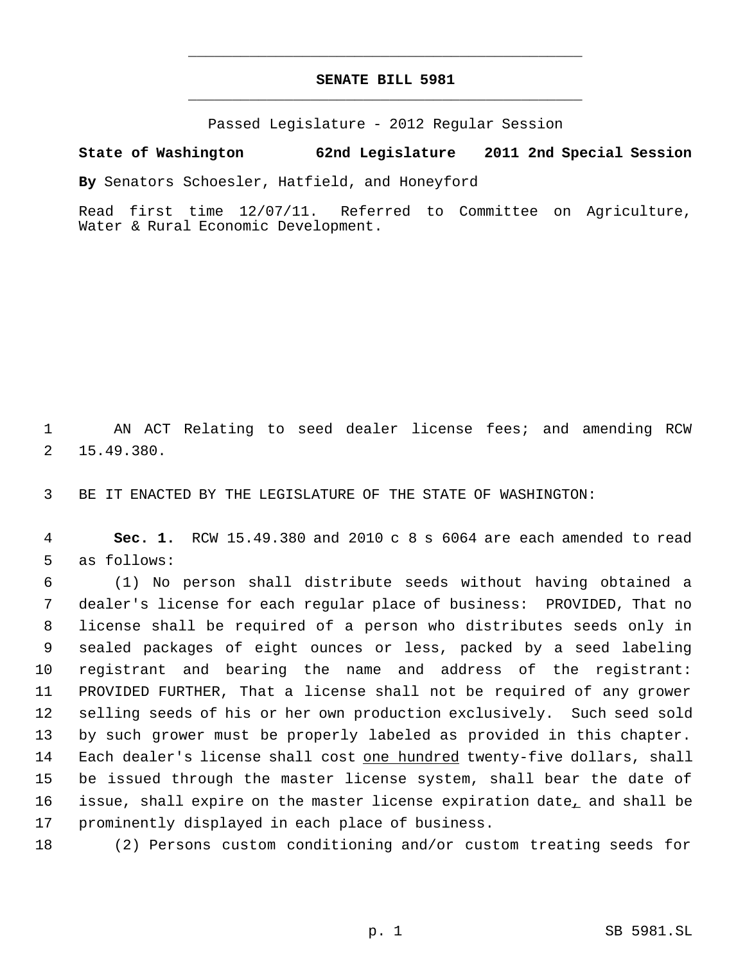## **SENATE BILL 5981** \_\_\_\_\_\_\_\_\_\_\_\_\_\_\_\_\_\_\_\_\_\_\_\_\_\_\_\_\_\_\_\_\_\_\_\_\_\_\_\_\_\_\_\_\_

\_\_\_\_\_\_\_\_\_\_\_\_\_\_\_\_\_\_\_\_\_\_\_\_\_\_\_\_\_\_\_\_\_\_\_\_\_\_\_\_\_\_\_\_\_

Passed Legislature - 2012 Regular Session

## **State of Washington 62nd Legislature 2011 2nd Special Session**

**By** Senators Schoesler, Hatfield, and Honeyford

Read first time 12/07/11. Referred to Committee on Agriculture, Water & Rural Economic Development.

 1 AN ACT Relating to seed dealer license fees; and amending RCW 2 15.49.380.

3 BE IT ENACTED BY THE LEGISLATURE OF THE STATE OF WASHINGTON:

 4 **Sec. 1.** RCW 15.49.380 and 2010 c 8 s 6064 are each amended to read 5 as follows:

 (1) No person shall distribute seeds without having obtained a dealer's license for each regular place of business: PROVIDED, That no license shall be required of a person who distributes seeds only in sealed packages of eight ounces or less, packed by a seed labeling registrant and bearing the name and address of the registrant: PROVIDED FURTHER, That a license shall not be required of any grower selling seeds of his or her own production exclusively. Such seed sold by such grower must be properly labeled as provided in this chapter. 14 Each dealer's license shall cost one hundred twenty-five dollars, shall be issued through the master license system, shall bear the date of 16 issue, shall expire on the master license expiration date<sub> *and shall be</sub>* prominently displayed in each place of business.

18 (2) Persons custom conditioning and/or custom treating seeds for